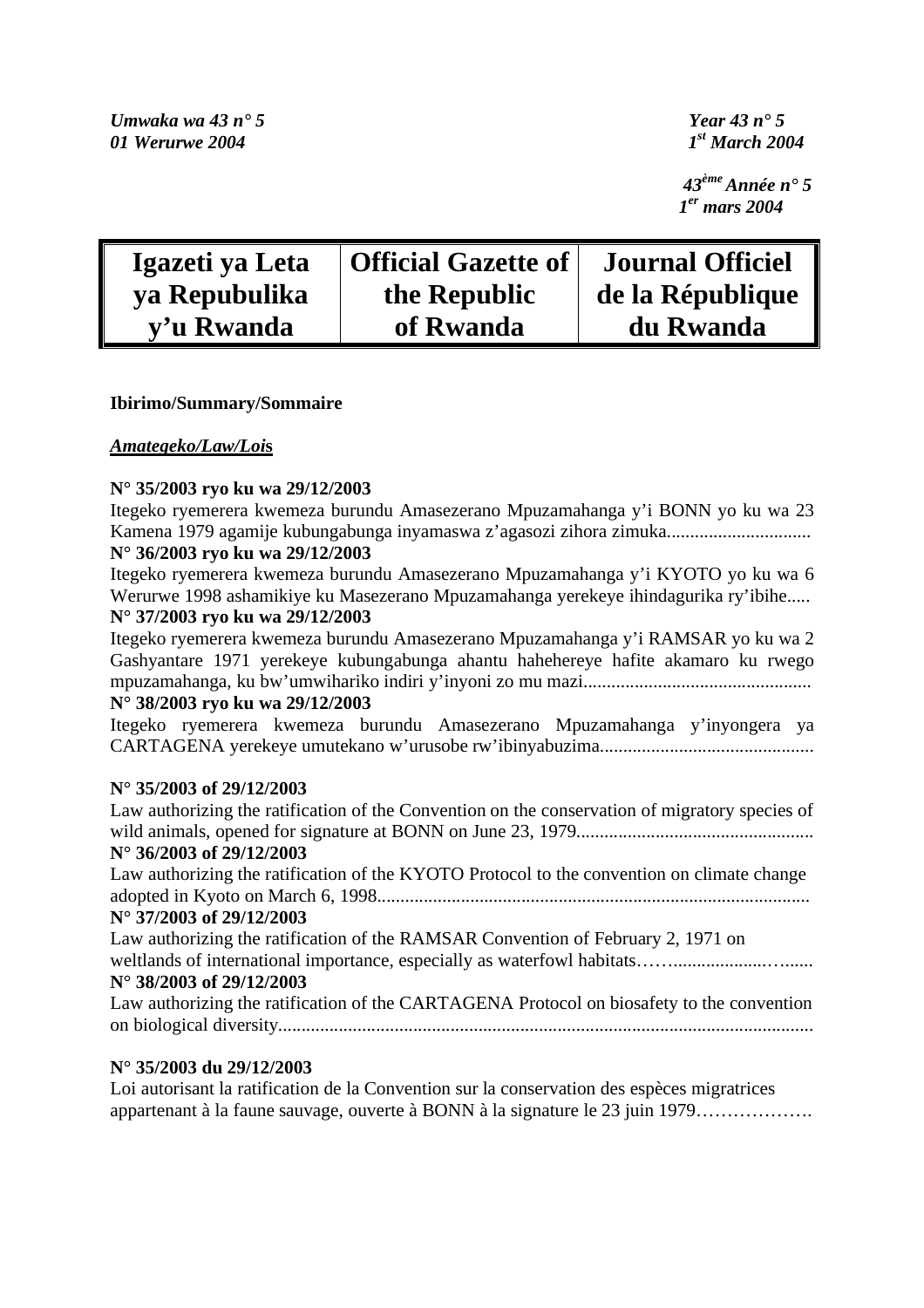*43ème Année n° 5 1er mars 2004* 

| Igazeti ya Leta | <b>Official Gazette of</b> | <b>Journal Officiel</b> |
|-----------------|----------------------------|-------------------------|
| ya Repubulika   | the Republic               | de la République        |
| y'u Rwanda      | of Rwanda                  | du Rwanda               |

## **Ibirimo/Summary/Sommaire**

## *Amategeko/Law/Loi***s**

#### **N° 35/2003 ryo ku wa 29/12/2003**

Itegeko ryemerera kwemeza burundu Amasezerano Mpuzamahanga y'i BONN yo ku wa 23 Kamena 1979 agamije kubungabunga inyamaswa z'agasozi zihora zimuka............................... **N° 36/2003 ryo ku wa 29/12/2003** 

Itegeko ryemerera kwemeza burundu Amasezerano Mpuzamahanga y'i KYOTO yo ku wa 6 Werurwe 1998 ashamikiye ku Masezerano Mpuzamahanga yerekeye ihindagurika ry'ibihe..... **N° 37/2003 ryo ku wa 29/12/2003** 

Itegeko ryemerera kwemeza burundu Amasezerano Mpuzamahanga y'i RAMSAR yo ku wa 2 Gashyantare 1971 yerekeye kubungabunga ahantu hahehereye hafite akamaro ku rwego mpuzamahanga, ku bw'umwihariko indiri y'inyoni zo mu mazi................................................. **N° 38/2003 ryo ku wa 29/12/2003** 

Itegeko ryemerera kwemeza burundu Amasezerano Mpuzamahanga y'inyongera ya CARTAGENA yerekeye umutekano w'urusobe rw'ibinyabuzima..............................................

#### **N° 35/2003 of 29/12/2003**

Law authorizing the ratification of the Convention on the conservation of migratory species of wild animals, opened for signature at BONN on June 23, 1979................................................... **N° 36/2003 of 29/12/2003**  Law authorizing the ratification of the KYOTO Protocol to the convention on climate change adopted in Kyoto on March 6, 1998............................................................................................. **N° 37/2003 of 29/12/2003**  Law authorizing the ratification of the RAMSAR Convention of February 2, 1971 on weltlands of international importance, especially as waterfowl habitats……....................…...... **N° 38/2003 of 29/12/2003**  Law authorizing the ratification of the CARTAGENA Protocol on biosafety to the convention on biological diversity...................................................................................................................

# **N° 35/2003 du 29/12/2003**

Loi autorisant la ratification de la Convention sur la conservation des espèces migratrices appartenant à la faune sauvage, ouverte à BONN à la signature le 23 juin 1979……………….